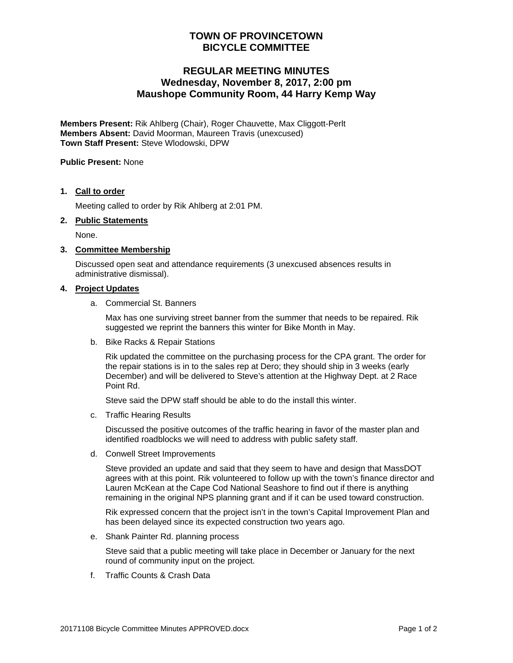# **TOWN OF PROVINCETOWN BICYCLE COMMITTEE**

# **REGULAR MEETING MINUTES Wednesday, November 8, 2017, 2:00 pm Maushope Community Room, 44 Harry Kemp Way**

**Members Present:** Rik Ahlberg (Chair), Roger Chauvette, Max Cliggott-Perlt **Members Absent:** David Moorman, Maureen Travis (unexcused) **Town Staff Present:** Steve Wlodowski, DPW

**Public Present:** None

### **1. Call to order**

Meeting called to order by Rik Ahlberg at 2:01 PM.

#### **2. Public Statements**

None.

#### **3. Committee Membership**

Discussed open seat and attendance requirements (3 unexcused absences results in administrative dismissal).

#### **4. Project Updates**

a. Commercial St. Banners

Max has one surviving street banner from the summer that needs to be repaired. Rik suggested we reprint the banners this winter for Bike Month in May.

b. Bike Racks & Repair Stations

Rik updated the committee on the purchasing process for the CPA grant. The order for the repair stations is in to the sales rep at Dero; they should ship in 3 weeks (early December) and will be delivered to Steve's attention at the Highway Dept. at 2 Race Point Rd.

Steve said the DPW staff should be able to do the install this winter.

c. Traffic Hearing Results

Discussed the positive outcomes of the traffic hearing in favor of the master plan and identified roadblocks we will need to address with public safety staff.

d. Conwell Street Improvements

Steve provided an update and said that they seem to have and design that MassDOT agrees with at this point. Rik volunteered to follow up with the town's finance director and Lauren McKean at the Cape Cod National Seashore to find out if there is anything remaining in the original NPS planning grant and if it can be used toward construction.

Rik expressed concern that the project isn't in the town's Capital Improvement Plan and has been delayed since its expected construction two years ago.

e. Shank Painter Rd. planning process

Steve said that a public meeting will take place in December or January for the next round of community input on the project.

f. Traffic Counts & Crash Data